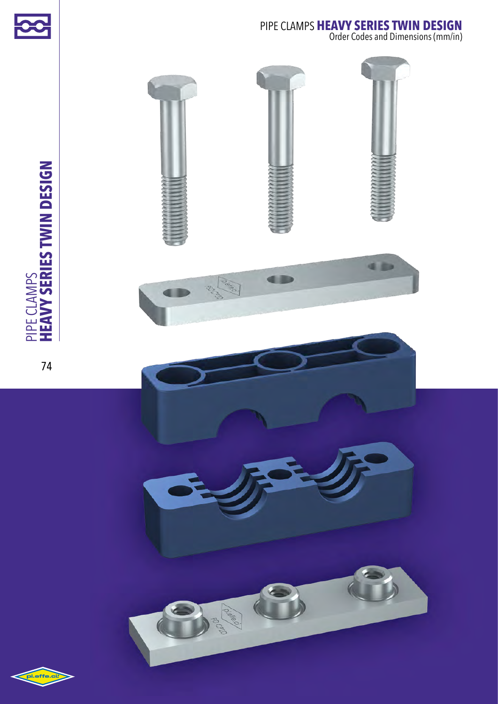

Order Codes and Dimensions (mm/in)



PIPE CLAMPS<br>HEAVY SERIES TWIN DESIGN **heavy series twin design** pipe clamps

74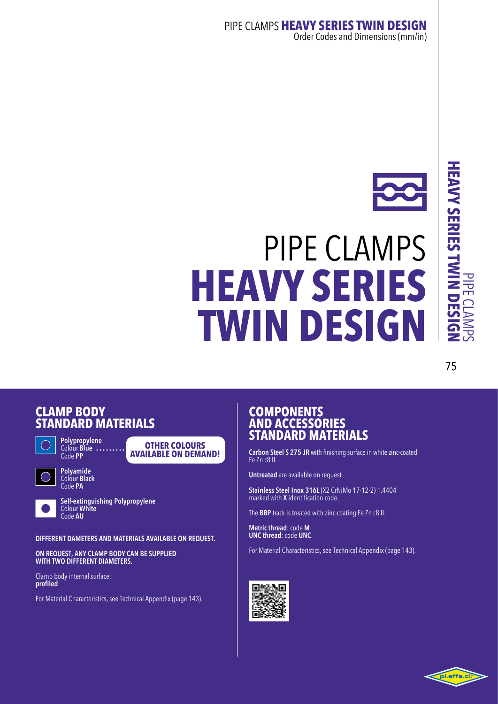## 75

#### **CLAMP**<sub>B</sub> **STANDARD** M



**Polypropylene**  Colour **Blue** Code **PP**



**Polyamide**  Colour **Black** Code **PA**



**Self-extinguishing Polypropylene** Colour **White** Code **AU**

**DIFFERENT DAMETERS AND MATERIALS AVAILABLE ON REQUEST.**

**Other colours available on demand!**

**ON REQUEST, ANY CLAMP BODY CAN BE SUPPLIED WITH TWO DIFFERENT DIAMETERS.**

Clamp body internal surface: **profiled** 

For Material Characteristics, see Technical Appendix (page 143).

#### **COMPONENTS AND A STANDARD** M

**Carbon Steel S 275 JR** with finishing surface in white zinc-coated Fe Zn c8 II.

**Untreated** are available on request.

**Stainless Steel Inox 316L** (X2 CrNiMo 17-12-2) 1.4404 marked with **X** identification code.

The **BBP** track is treated with zinc-coating Fe Zn c8 II.

**Metric thread**: code **M UNC thread**: code **UNC**.

For Material Characteristics, see Technical Appendix (page 143).



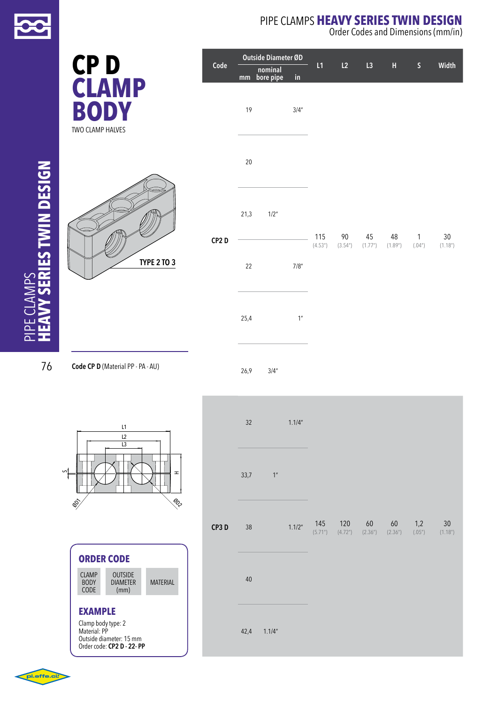

**CP D**

pipe clamps

**LAMPS** 

#### pipe clamps **heavy series twin design** Order Codes and Dimensions (mm/in)

|                    | Code |        | Outside Diameter ØD  |                      | L1      | L2     | L3      | $\boldsymbol{\mathsf{H}}$ | $\mathsf S$  | Width                |
|--------------------|------|--------|----------------------|----------------------|---------|--------|---------|---------------------------|--------------|----------------------|
|                    |      | mm     | nominal<br>bore pipe | $\mathop{\text{in}}$ |         |        |         |                           |              |                      |
|                    |      | 19     |                      | 3/4''                |         |        |         |                           |              |                      |
|                    |      | $20\,$ |                      |                      |         |        |         |                           |              |                      |
|                    | CP2D | 21,3   | $1/2^{\prime\prime}$ |                      | 115     | 90     | 45      | 48                        | $\mathbf{1}$ | $30\,$               |
| <b>TYPE 2 TO 3</b> |      | 22     |                      | 7/8"                 | (4.53") | (3.54) | (1.77") | (1.89")                   | (.04")       | (1.18 <sup>n</sup> ) |
|                    |      | 25,4   |                      | 1 <sup>n</sup>       |         |        |         |                           |              |                      |

76 **Code CP D** (Material PP - PA - AU)





|                                      | <b>ORDER CODE</b>                         |                 |  |  |  |  |  |  |
|--------------------------------------|-------------------------------------------|-----------------|--|--|--|--|--|--|
| <b>CLAMP</b><br><b>BODY</b><br>CODE  | <b>OUTSIDE</b><br><b>DIAMETER</b><br>(mm) | <b>MATERIAL</b> |  |  |  |  |  |  |
| <b>EXAMPLE</b><br>Clamp body type: 2 |                                           |                 |  |  |  |  |  |  |
| Material: PP                         | Outside diameter: 15 mm                   |                 |  |  |  |  |  |  |

Outside diameter: 15 mm Order code: **CP2 D - 22- PP**



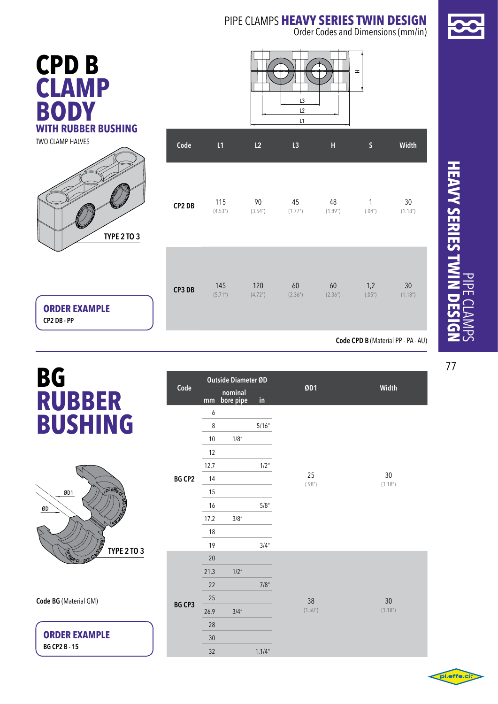Order Codes and Dimensions (mm/in)





two clamp halves



|        |         |                       | L1      |         |             |                       |
|--------|---------|-----------------------|---------|---------|-------------|-----------------------|
| Code   | L1      | L2                    | L3      | H       | $\mathsf S$ | Width                 |
| CP2 DB | 115     | 90                    | 45      | 48      | 1           | 30                    |
|        | (4.53") | (3.54 <sup>''</sup> ) | (1.77") | (1.89") | (.04")      | (1.18 <sup>''</sup> ) |
| CP3 DB | 145     | 120                   | 60      | 60      | 1,2         | 30                    |
|        | (5.71)  | (4.72 <sup>n</sup> )  | (2.36") | (2.36") | (.05")      | (1.18 <sup>''</sup> ) |

**ORDER EXAMPLE CP2 DB - PP**

**Code CPD B** (Material PP - PA - AU)

## **BG rubber bushing**



**Code BG** (Material GM)

**ORDER EXAMPLE BG CP2 B - 15**

|               | Outside Diameter ØD |                      |               |              |                             |
|---------------|---------------------|----------------------|---------------|--------------|-----------------------------|
| Code          | mm                  | nominal<br>bore pipe | $\mathsf{in}$ | ØD1          | Width                       |
|               | 6                   |                      |               |              |                             |
|               | 8                   |                      | 5/16''        |              |                             |
|               | 10                  | 1/8"                 |               |              |                             |
|               | 12                  |                      |               |              |                             |
|               | 12,7                |                      | 1/2"          |              |                             |
| <b>BG CP2</b> | 14                  |                      |               | 25<br>(.98") | 30<br>(1.18 <sup>''</sup> ) |
|               | 15                  |                      |               |              |                             |
|               | 16                  |                      | 5/8"          |              |                             |
|               | 17,2                | 3/8''                |               |              |                             |
|               | 18                  |                      |               |              |                             |
|               | 19                  |                      | 3/4''         |              |                             |
|               | 20                  |                      |               |              |                             |
|               | 21,3                | $1/2$ "              |               |              |                             |
|               | 22                  |                      | 7/8"          |              |                             |
|               | 25                  |                      |               | 38           | 30                          |
| BG CP3        | 26,9                | 3/4''                |               | (1.50")      | (1.18 <sup>''</sup> )       |
|               | 28                  |                      |               |              |                             |
|               | 30                  |                      |               |              |                             |
|               | 32                  |                      | 1.1/4"        |              |                             |

## **HEAVY SERIES TWIL heavy series twin design** pipe clamps

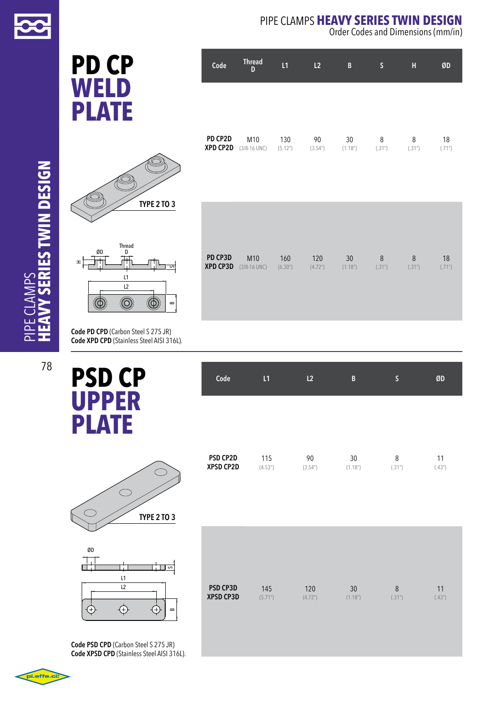

**PD CP WELD PLATE ERIES TWIN DESIGN heavy series twin design**  $\bigotimes$  $\bigcap$ 

78

oi.effe.ci

pipe clamps

LAMPS

|                          | <b>TYPE 2 TO 3</b> |
|--------------------------|--------------------|
|                          |                    |
|                          |                    |
| <b>Thread</b><br>ØD<br>D |                    |
| H                        | U                  |
| L1                       |                    |
| L2                       |                    |
|                          | $\mathbf{a}$       |

**Code PD CPD** (Carbon Steel S 275 JR) **Code XPD CPD** (Stainless Steel AISI 316L).

 $^{\circledR}$ 

 $^{\circledR}$ 

 $\infty$ 

 $^{\circledR}$ 

**PSD CP UPPER PLATE**

| Code                  | L1             | L2                          | B                          | lS.         | ØD           |
|-----------------------|----------------|-----------------------------|----------------------------|-------------|--------------|
|                       |                |                             |                            |             |              |
|                       |                |                             |                            |             |              |
| PSD CP2D<br>XPSD CP2D | 115<br>(4.53") | 90<br>(3.54 <sup>''</sup> ) | 30<br>(1.18 <sup>n</sup> ) | 8<br>(.31") | 11<br>(.43") |
|                       |                |                             |                            |             |              |
|                       |                |                             |                            |             |              |

| ØD |    |          |
|----|----|----------|
|    |    | S        |
|    | L1 |          |
|    | L2 |          |
|    |    | $\bf{m}$ |

 $\bigcirc$ 

**TYPE 2 to 3**

**Code PSD CPD** (Carbon Steel S 275 JR) **Code XPSD CPD** (Stainless Steel AISI 316L). pipe clamps **heavy series twin design**

Order Codes and Dimensions (mm/in)

| Code                | <b>Thread</b><br>D      | L1             | L2                          | B                           | S           | н           | ØD           |
|---------------------|-------------------------|----------------|-----------------------------|-----------------------------|-------------|-------------|--------------|
|                     |                         |                |                             |                             |             |             |              |
| PD CP2D<br>XPD CP2D | M10<br>$(3/8 - 16$ UNC) | 130<br>(5.12") | 90<br>(3.54 <sup>''</sup> ) | 30<br>(1.18 <sup>''</sup> ) | 8<br>(.31") | 8<br>(.31") | 18<br>(.71") |
|                     |                         |                |                             |                             |             |             |              |

**PD CP3D XPD CP3D** (3/8-16 UNC) (6.30") (4.72") (1.18") (.31") (.31") (.71") M10 160 120 30 8 8 18

| <b>PSD CP3D</b>  | 145    | 120                  | 30      | 8      | 11    |
|------------------|--------|----------------------|---------|--------|-------|
| <b>XPSD CP3D</b> | (5.71) | (4.72 <sup>u</sup> ) | (1.18") | (.31") | (43") |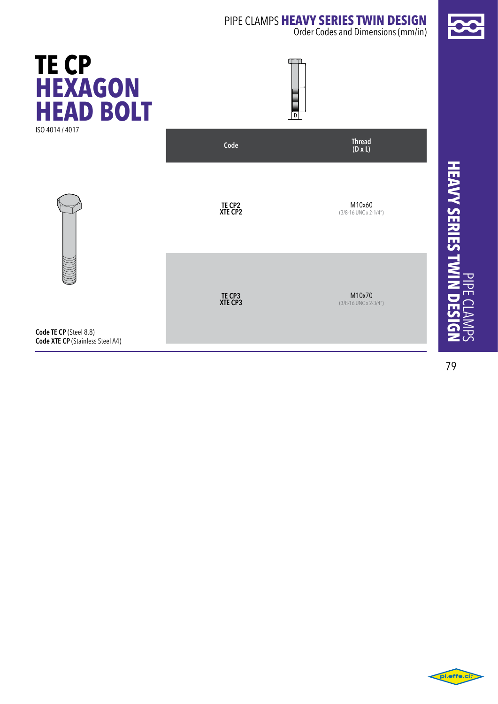Order Codes and Dimensions (mm/in)



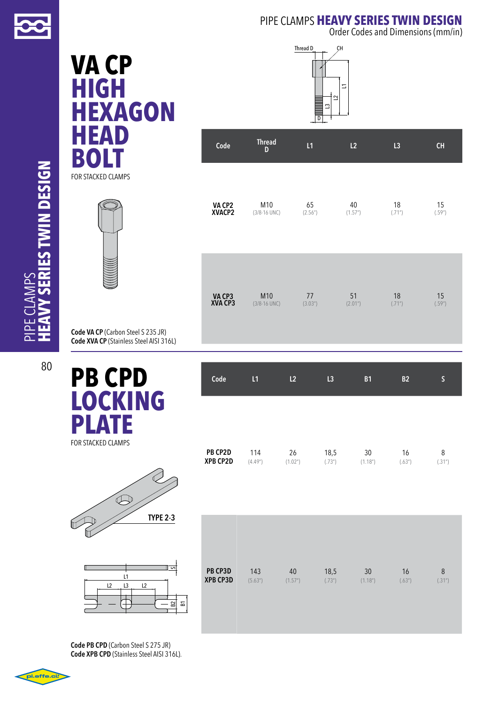

Order Codes and Dimensions (mm/in)

## **VA CP high HEXAGON HEAD BOLT** FOR STACKED CLAMPS



**Code VA CP** (Carbon Steel S 235 JR) **Code XVA CP** (Stainless Steel AISI 316L)

## **PB CPD LOCKIN G PLATE**







| Code                     | <b>Thread</b><br>D      | L1            | L2            | L3           | CH           |
|--------------------------|-------------------------|---------------|---------------|--------------|--------------|
| <b>VA CP2<br/>XVACP2</b> | M10<br>$(3/8 - 16$ UNC) | 65<br>(2.56") | 40<br>(1.57") | 18<br>(.71") | 15<br>(.59") |
|                          |                         |               |               |              |              |

| VA CP3<br>XVA CP3 | M <sub>10</sub>  | 77      | 51      | 18     | 15     |
|-------------------|------------------|---------|---------|--------|--------|
|                   | $(3/8 - 16$ UNC) | (3.03") | (2.01") | (.71") | (.59") |
|                   |                  |         |         |        |        |

| PB CP2D         | 114     | 26                    | 18,5   | 30                    | 16     | 8        |
|-----------------|---------|-----------------------|--------|-----------------------|--------|----------|
| <b>XPB CP2D</b> | (4.49") | (1.02 <sup>''</sup> ) | (.73") | (1.18 <sup>''</sup> ) | (.63") | $.31n$ ) |

**Code L1 L2 L3 B1 B2 S**

| ╱<br><b>TYPE 2-3</b>     |                                              |               |                |               |              |             |
|--------------------------|----------------------------------------------|---------------|----------------|---------------|--------------|-------------|
| $\sim$<br>L1<br>13<br>12 | PB CP3D<br>143<br><b>XPB CP3D</b><br>(5.63") | 40<br>(1.57") | 18,5<br>(.73") | 30<br>(1.18") | 16<br>(.63") | 8<br>(.31") |

**Code PB CPD** (Carbon Steel S 275 JR) **Code XPB CPD** (Stainless Steel AISI 316L).

**ERIES TWIN DESIGN heavy series twin design** pipe clamps

80

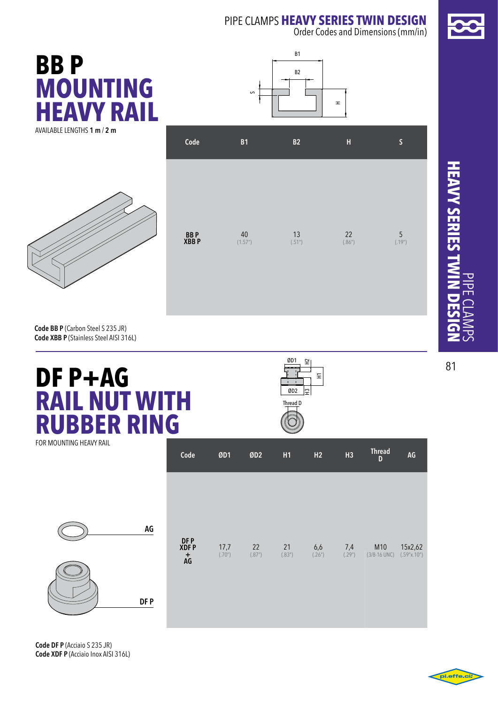Order Codes and Dimensions (mm/in)



**Code BB P** (Carbon Steel S 235 JR) **Code XBB P** (Stainless Steel AISI 316L)

## **DF P+AG RAIL NUT WITH RUBBER RING** for mounting heavy rail

| ØD1<br>₽              |   |
|-----------------------|---|
|                       | 두 |
| ÷.<br>ØD <sub>2</sub> |   |
| Thread D              |   |

**Code ØD1 ØD2 H1 H2 H3 Thread <sup>D</sup> AG**

**HEAVY SERIES TWIL heavy series twin design** pipe clamps

81

![](_page_7_Figure_7.jpeg)

**DF p XDF P + AG** 17,7 22 21 6,6 7,4 M10 15x2,62 (.70") (.87") (.83") (.26") (.29") (3/8-16 UNC) (.59"x.10") **DF P AG**

**Code DF P** (Acciaio S 235 JR) **Code XDF P** (Acciaio Inox AISI 316L)

![](_page_7_Picture_10.jpeg)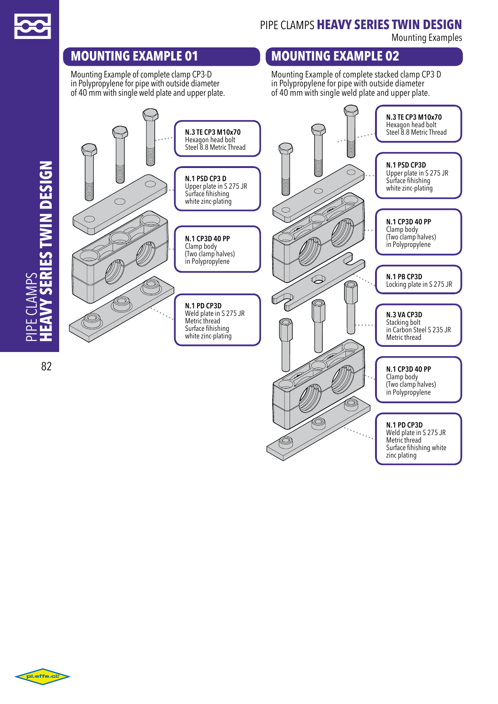![](_page_8_Picture_0.jpeg)

pipe clamps

**IPE CLAMPS** 

pipe clamps **heavy series twin design**

Mounting Examples

## **mounting EXAMPLE 01**

Mounting Example of complete clamp CP3-D in Polypropylene for pipe with outside diameter of 40 mm with single weld plate and upper plate.

## **mounting EXAMPLE 02**

Mounting Example of complete stacked clamp CP3 D in Polypropylene for pipe with outside diameter of 40 mm with single weld plate and upper plate.

#### **N.3 TE CP3 M10x70** Hexagon head bolt **N.3 TE CP3 M10x70** Steel 8.8 Metric Thread Hexagon head bolt Steel 8.8 Metric Thread *Y SERIES TWIN DESIGN* **N.1 PSD CP3D heavy series twin design** Upper plate in S 275 JR **N.1 PSD CP3 D** Surface fihishing Upper plate in S 275 JR white zinc-plating  $\subset$ Surface fihishing  $\bigcap$ white zinc-plating **N.1 CP3D 40 PP** Clamp body **N.1 CP3D 40 PP** (Two clamp halves) in Polypropylene Clamp body (Two clamp halves) in Polypropylene  $\bigoplus$ **N.1 PB CP3D** Locking plate in S 275 JR **N.1 PD CP3D**  Weld plate in S 275 JR **N.3 VA CP3D** Metric thread Stacking bolt m Surface fihishing in Carbon Steel S 235 JR white zinc-plating Metric thread 82 **N.1 CP3D 40 PP** Clamp body (Two clamp halves) in Polypropylene **N.1 PD CP3D**  Weld plate in S 275 JR Metric thread Surface fihishing white zinc plating

![](_page_8_Picture_8.jpeg)